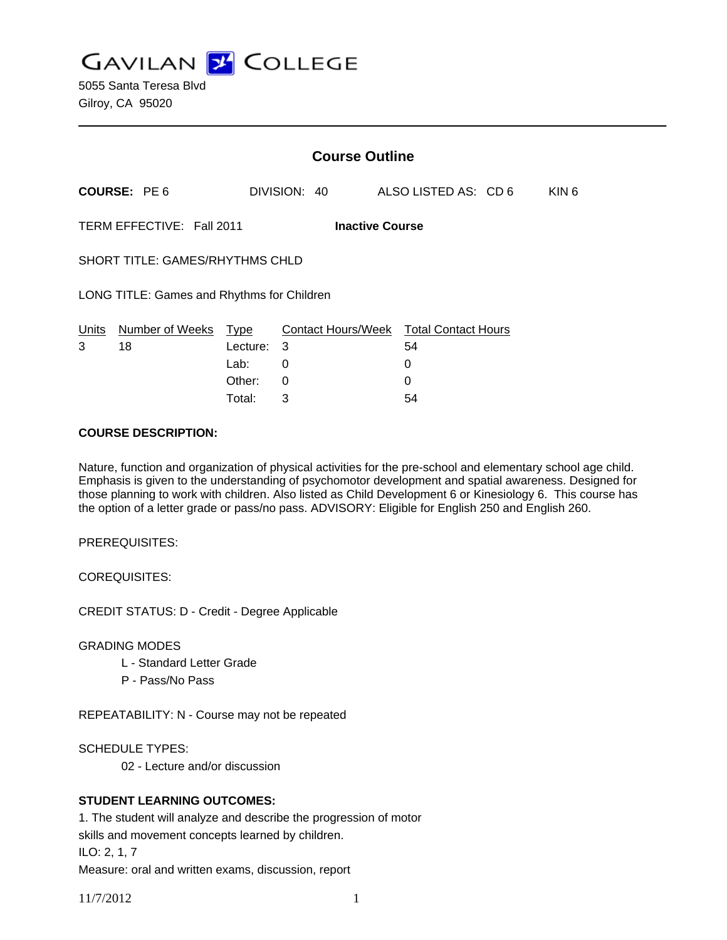**GAVILAN J COLLEGE** 

| <b>Course Outline</b>                               |          |              |                                        |                  |
|-----------------------------------------------------|----------|--------------|----------------------------------------|------------------|
| <b>COURSE: PE6</b>                                  |          | DIVISION: 40 | ALSO LISTED AS: CD 6                   | KIN <sub>6</sub> |
| TERM EFFECTIVE: Fall 2011<br><b>Inactive Course</b> |          |              |                                        |                  |
| <b>SHORT TITLE: GAMES/RHYTHMS CHLD</b>              |          |              |                                        |                  |
| LONG TITLE: Games and Rhythms for Children          |          |              |                                        |                  |
| Number of Weeks<br>Units                            | Type     |              | Contact Hours/Week Total Contact Hours |                  |
| 3<br>18                                             | Lecture: | 3            | 54                                     |                  |
|                                                     | Lab:     | 0            | 0                                      |                  |
|                                                     | Other:   | 0            | 0                                      |                  |

Total: 3 54

#### **COURSE DESCRIPTION:**

Nature, function and organization of physical activities for the pre-school and elementary school age child. Emphasis is given to the understanding of psychomotor development and spatial awareness. Designed for those planning to work with children. Also listed as Child Development 6 or Kinesiology 6. This course has the option of a letter grade or pass/no pass. ADVISORY: Eligible for English 250 and English 260.

PREREQUISITES:

COREQUISITES:

CREDIT STATUS: D - Credit - Degree Applicable

GRADING MODES

- L Standard Letter Grade
- P Pass/No Pass

REPEATABILITY: N - Course may not be repeated

SCHEDULE TYPES:

02 - Lecture and/or discussion

## **STUDENT LEARNING OUTCOMES:**

1. The student will analyze and describe the progression of motor skills and movement concepts learned by children. ILO: 2, 1, 7 Measure: oral and written exams, discussion, report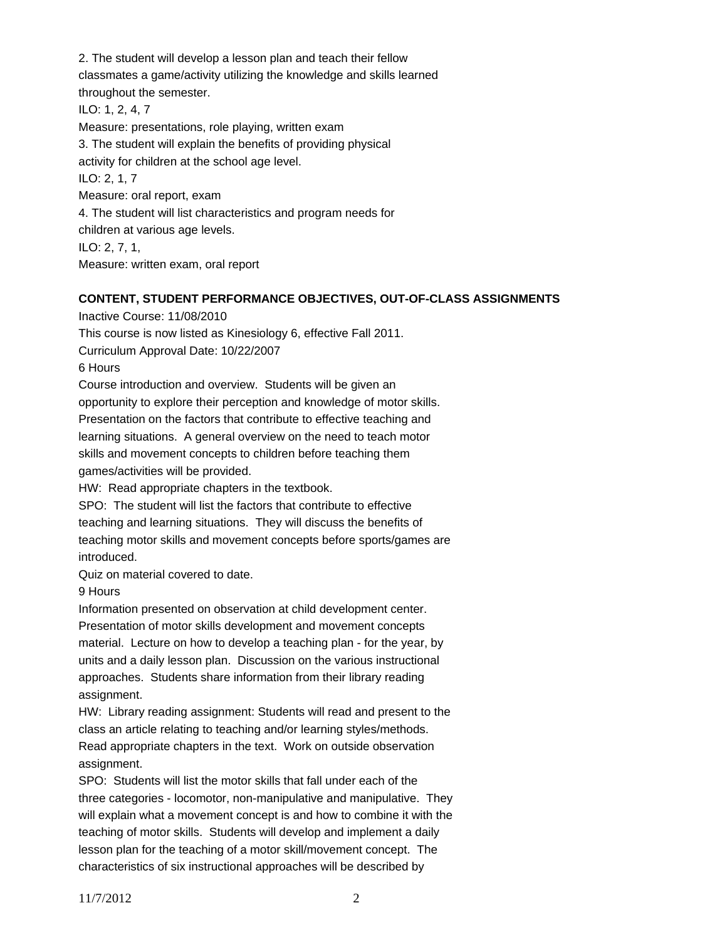2. The student will develop a lesson plan and teach their fellow classmates a game/activity utilizing the knowledge and skills learned throughout the semester. ILO: 1, 2, 4, 7 Measure: presentations, role playing, written exam 3. The student will explain the benefits of providing physical activity for children at the school age level. ILO: 2, 1, 7 Measure: oral report, exam 4. The student will list characteristics and program needs for children at various age levels. ILO: 2, 7, 1, Measure: written exam, oral report

## **CONTENT, STUDENT PERFORMANCE OBJECTIVES, OUT-OF-CLASS ASSIGNMENTS**

Inactive Course: 11/08/2010

This course is now listed as Kinesiology 6, effective Fall 2011.

Curriculum Approval Date: 10/22/2007

6 Hours

Course introduction and overview. Students will be given an opportunity to explore their perception and knowledge of motor skills. Presentation on the factors that contribute to effective teaching and learning situations. A general overview on the need to teach motor skills and movement concepts to children before teaching them games/activities will be provided.

HW: Read appropriate chapters in the textbook.

SPO: The student will list the factors that contribute to effective teaching and learning situations. They will discuss the benefits of teaching motor skills and movement concepts before sports/games are introduced.

Quiz on material covered to date.

9 Hours

Information presented on observation at child development center. Presentation of motor skills development and movement concepts material. Lecture on how to develop a teaching plan - for the year, by units and a daily lesson plan. Discussion on the various instructional approaches. Students share information from their library reading assignment.

HW: Library reading assignment: Students will read and present to the class an article relating to teaching and/or learning styles/methods. Read appropriate chapters in the text. Work on outside observation assignment.

SPO: Students will list the motor skills that fall under each of the three categories - locomotor, non-manipulative and manipulative. They will explain what a movement concept is and how to combine it with the teaching of motor skills. Students will develop and implement a daily lesson plan for the teaching of a motor skill/movement concept. The characteristics of six instructional approaches will be described by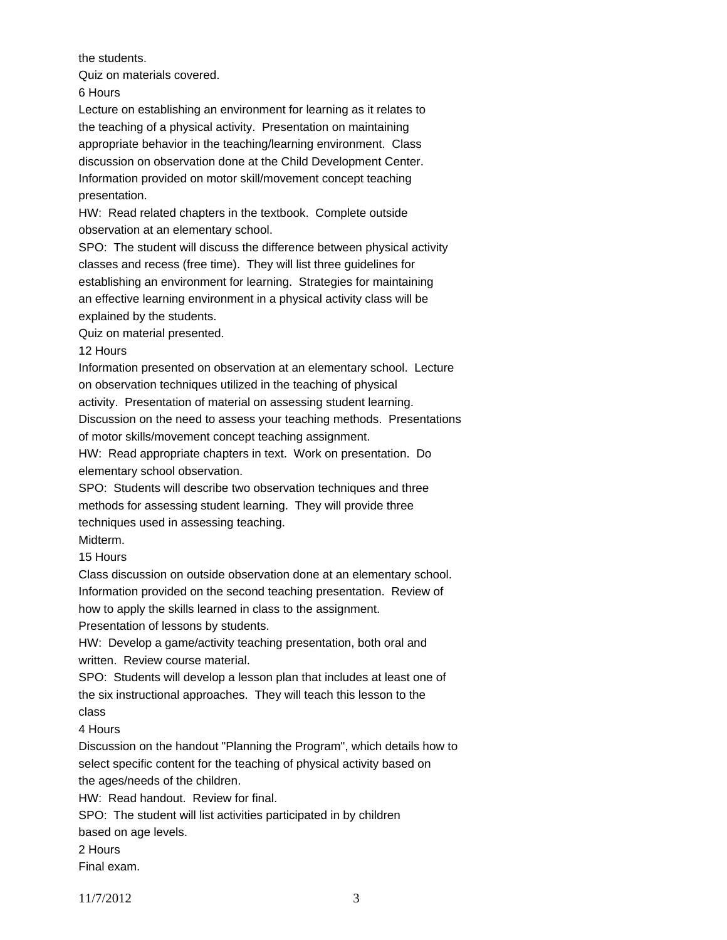the students.

Quiz on materials covered.

6 Hours

Lecture on establishing an environment for learning as it relates to the teaching of a physical activity. Presentation on maintaining appropriate behavior in the teaching/learning environment. Class discussion on observation done at the Child Development Center. Information provided on motor skill/movement concept teaching presentation.

HW: Read related chapters in the textbook. Complete outside observation at an elementary school.

SPO: The student will discuss the difference between physical activity classes and recess (free time). They will list three guidelines for establishing an environment for learning. Strategies for maintaining an effective learning environment in a physical activity class will be explained by the students.

Quiz on material presented.

## 12 Hours

Information presented on observation at an elementary school. Lecture on observation techniques utilized in the teaching of physical

activity. Presentation of material on assessing student learning.

Discussion on the need to assess your teaching methods. Presentations of motor skills/movement concept teaching assignment.

HW: Read appropriate chapters in text. Work on presentation. Do elementary school observation.

SPO: Students will describe two observation techniques and three methods for assessing student learning. They will provide three techniques used in assessing teaching. Midterm.

15 Hours

Class discussion on outside observation done at an elementary school. Information provided on the second teaching presentation. Review of

how to apply the skills learned in class to the assignment.

Presentation of lessons by students.

HW: Develop a game/activity teaching presentation, both oral and written. Review course material.

SPO: Students will develop a lesson plan that includes at least one of the six instructional approaches. They will teach this lesson to the class

4 Hours

Discussion on the handout "Planning the Program", which details how to select specific content for the teaching of physical activity based on the ages/needs of the children.

HW: Read handout. Review for final.

SPO: The student will list activities participated in by children

based on age levels.

2 Hours

Final exam.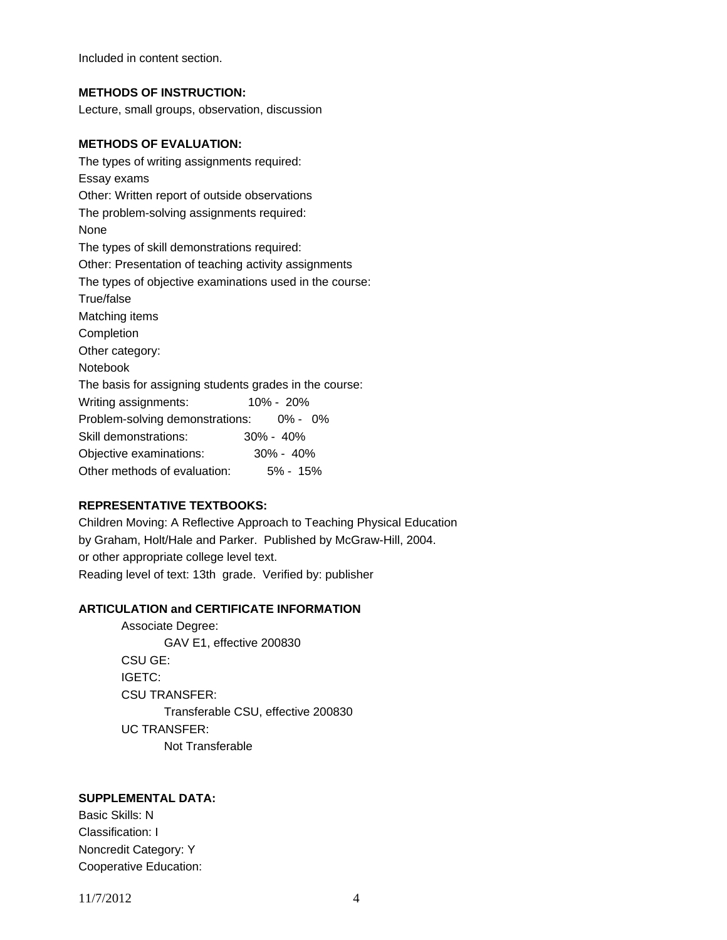Included in content section.

### **METHODS OF INSTRUCTION:**

Lecture, small groups, observation, discussion

#### **METHODS OF EVALUATION:**

The types of writing assignments required: Essay exams Other: Written report of outside observations The problem-solving assignments required: None The types of skill demonstrations required: Other: Presentation of teaching activity assignments The types of objective examinations used in the course: True/false Matching items Completion Other category: Notebook The basis for assigning students grades in the course: Writing assignments: 10% - 20% Problem-solving demonstrations: 0% - 0% Skill demonstrations: 30% - 40% Objective examinations: 30% - 40% Other methods of evaluation: 5% - 15%

## **REPRESENTATIVE TEXTBOOKS:**

Children Moving: A Reflective Approach to Teaching Physical Education by Graham, Holt/Hale and Parker. Published by McGraw-Hill, 2004. or other appropriate college level text. Reading level of text: 13th grade. Verified by: publisher

#### **ARTICULATION and CERTIFICATE INFORMATION**

 Transferable CSU, effective 200830 UC TRANSFER: Not Transferable Associate Degree: GAV E1, effective 200830 CSU GE: IGETC: CSU TRANSFER:

# **SUPPLEMENTAL DATA:**

Basic Skills: N Classification: I Noncredit Category: Y Cooperative Education:

11/7/2012 4